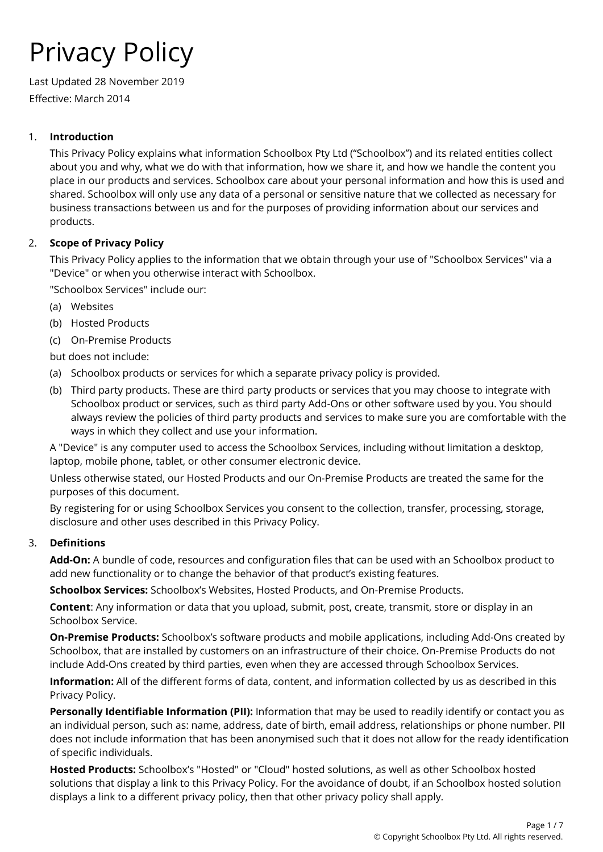# Privacy Policy

Last Updated 28 November 2019 Effective: March 2014

# 1. **Introduction**

This Privacy Policy explains what information Schoolbox Pty Ltd ("Schoolbox") and its related entities collect about you and why, what we do with that information, how we share it, and how we handle the content you place in our products and services. Schoolbox care about your personal information and how this is used and shared. Schoolbox will only use any data of a personal or sensitive nature that we collected as necessary for business transactions between us and for the purposes of providing information about our services and products.

# 2. **Scope of Privacy Policy**

This Privacy Policy applies to the information that we obtain through your use of "Schoolbox Services" via a "Device" or when you otherwise interact with Schoolbox.

"Schoolbox Services" include our:

- (a) Websites
- (b) Hosted Products
- (c) On-Premise Products

but does not include:

- (a) Schoolbox products or services for which a separate privacy policy is provided.
- (b) Third party products. These are third party products or services that you may choose to integrate with Schoolbox product or services, such as third party Add-Ons or other software used by you. You should always review the policies of third party products and services to make sure you are comfortable with the ways in which they collect and use your information.

A "Device" is any computer used to access the Schoolbox Services, including without limitation a desktop, laptop, mobile phone, tablet, or other consumer electronic device.

Unless otherwise stated, our Hosted Products and our On-Premise Products are treated the same for the purposes of this document.

By registering for or using Schoolbox Services you consent to the collection, transfer, processing, storage, disclosure and other uses described in this Privacy Policy.

## 3. **Definitions**

**Add-On:** A bundle of code, resources and configuration files that can be used with an Schoolbox product to add new functionality or to change the behavior of that product's existing features.

**Schoolbox Services:** Schoolbox's Websites, Hosted Products, and On-Premise Products.

**Content**: Any information or data that you upload, submit, post, create, transmit, store or display in an Schoolbox Service.

**On-Premise Products:** Schoolbox's software products and mobile applications, including Add-Ons created by Schoolbox, that are installed by customers on an infrastructure of their choice. On-Premise Products do not include Add-Ons created by third parties, even when they are accessed through Schoolbox Services.

**Information:** All of the different forms of data, content, and information collected by us as described in this Privacy Policy.

**Personally Identifiable Information (PII):** Information that may be used to readily identify or contact you as an individual person, such as: name, address, date of birth, email address, relationships or phone number. PII does not include information that has been anonymised such that it does not allow for the ready identification of specific individuals.

**Hosted Products:** Schoolbox's "Hosted" or "Cloud" hosted solutions, as well as other Schoolbox hosted solutions that display a link to this Privacy Policy. For the avoidance of doubt, if an Schoolbox hosted solution displays a link to a different privacy policy, then that other privacy policy shall apply.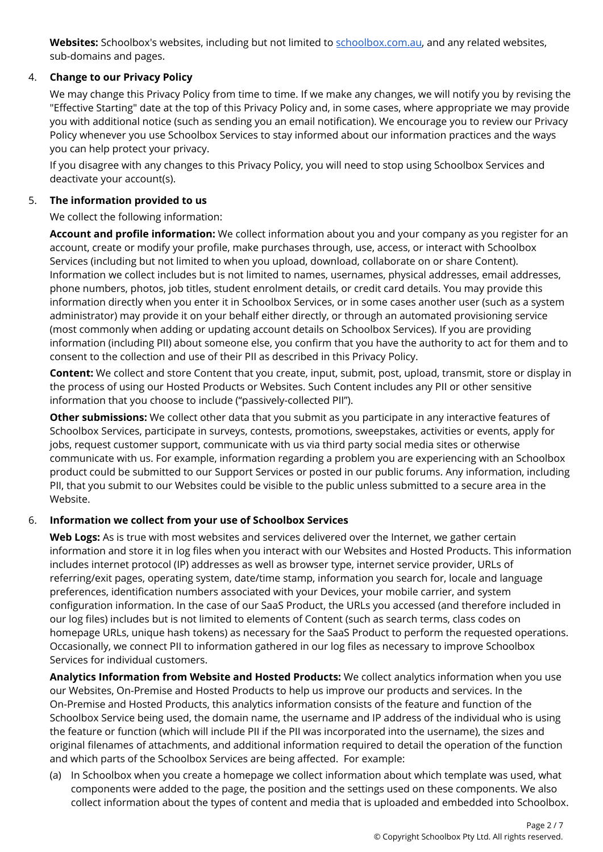**Websites:** Schoolbox's websites, including but not limited to [schoolbox.com.au](http://www.schoolbox.com.au/), and any related websites, sub-domains and pages.

# 4. **Change to our Privacy Policy**

We may change this Privacy Policy from time to time. If we make any changes, we will notify you by revising the "Effective Starting" date at the top of this Privacy Policy and, in some cases, where appropriate we may provide you with additional notice (such as sending you an email notification). We encourage you to review our Privacy Policy whenever you use Schoolbox Services to stay informed about our information practices and the ways you can help protect your privacy.

If you disagree with any changes to this Privacy Policy, you will need to stop using Schoolbox Services and deactivate your account(s).

## 5. **The information provided to us**

We collect the following information:

**Account and profile information:** We collect information about you and your company as you register for an account, create or modify your profile, make purchases through, use, access, or interact with Schoolbox Services (including but not limited to when you upload, download, collaborate on or share Content). Information we collect includes but is not limited to names, usernames, physical addresses, email addresses, phone numbers, photos, job titles, student enrolment details, or credit card details. You may provide this information directly when you enter it in Schoolbox Services, or in some cases another user (such as a system administrator) may provide it on your behalf either directly, or through an automated provisioning service (most commonly when adding or updating account details on Schoolbox Services). If you are providing information (including PII) about someone else, you confirm that you have the authority to act for them and to consent to the collection and use of their PII as described in this Privacy Policy.

**Content:** We collect and store Content that you create, input, submit, post, upload, transmit, store or display in the process of using our Hosted Products or Websites. Such Content includes any PII or other sensitive information that you choose to include ("passively-collected PII").

**Other submissions:** We collect other data that you submit as you participate in any interactive features of Schoolbox Services, participate in surveys, contests, promotions, sweepstakes, activities or events, apply for jobs, request customer support, communicate with us via third party social media sites or otherwise communicate with us. For example, information regarding a problem you are experiencing with an Schoolbox product could be submitted to our Support Services or posted in our public forums. Any information, including PII, that you submit to our Websites could be visible to the public unless submitted to a secure area in the Website.

## 6. **Information we collect from your use of Schoolbox Services**

**Web Logs:** As is true with most websites and services delivered over the Internet, we gather certain information and store it in log files when you interact with our Websites and Hosted Products. This information includes internet protocol (IP) addresses as well as browser type, internet service provider, URLs of referring/exit pages, operating system, date/time stamp, information you search for, locale and language preferences, identification numbers associated with your Devices, your mobile carrier, and system configuration information. In the case of our SaaS Product, the URLs you accessed (and therefore included in our log files) includes but is not limited to elements of Content (such as search terms, class codes on homepage URLs, unique hash tokens) as necessary for the SaaS Product to perform the requested operations. Occasionally, we connect PII to information gathered in our log files as necessary to improve Schoolbox Services for individual customers.

**Analytics Information from Website and Hosted Products:** We collect analytics information when you use our Websites, On-Premise and Hosted Products to help us improve our products and services. In the On-Premise and Hosted Products, this analytics information consists of the feature and function of the Schoolbox Service being used, the domain name, the username and IP address of the individual who is using the feature or function (which will include PII if the PII was incorporated into the username), the sizes and original filenames of attachments, and additional information required to detail the operation of the function and which parts of the Schoolbox Services are being affected. For example:

(a) In Schoolbox when you create a homepage we collect information about which template was used, what components were added to the page, the position and the settings used on these components. We also collect information about the types of content and media that is uploaded and embedded into Schoolbox.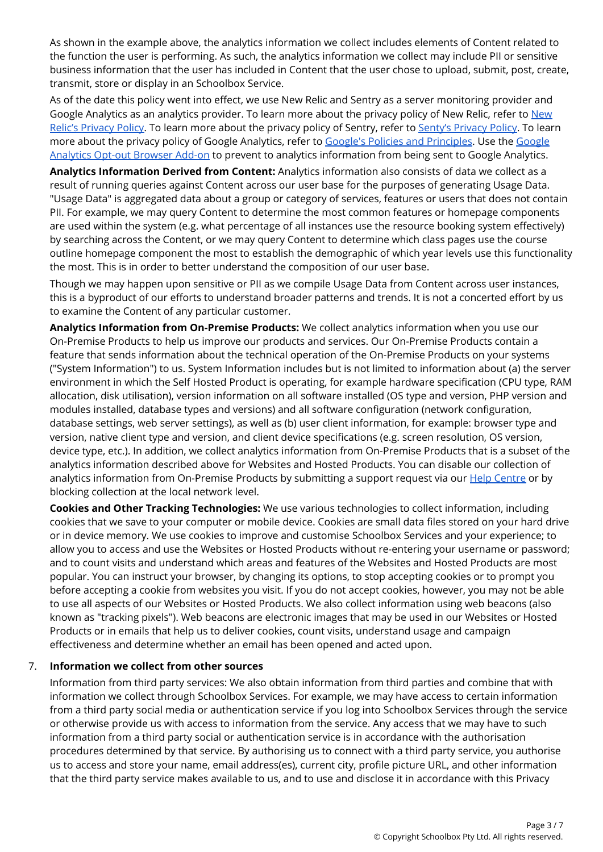As shown in the example above, the analytics information we collect includes elements of Content related to the function the user is performing. As such, the analytics information we collect may include PII or sensitive business information that the user has included in Content that the user chose to upload, submit, post, create, transmit, store or display in an Schoolbox Service.

As of the date this policy went into effect, we use New Relic and Sentry as a server monitoring provider and Google Analytics as an analytics provider. To learn more about the privacy policy of [New](http://newrelic.com/privacy) Relic, refer to New Relic's [Privacy](https://sentry.io/privacy/) Policy. To learn more about the privacy policy of Sentry, refer to Senty's Privacy Policy. To learn more about the privacy policy of Google Analytics, refer to Google's Policies and [Principles](https://www.google.com/policies/). Use the [Google](https://tools.google.com/dlpage/gaoptout?hl=en) [Analytics](https://tools.google.com/dlpage/gaoptout?hl=en) Opt-out Browser Add-on to prevent to analytics information from being sent to Google Analytics.

**Analytics Information Derived from Content:** Analytics information also consists of data we collect as a result of running queries against Content across our user base for the purposes of generating Usage Data. "Usage Data" is aggregated data about a group or category of services, features or users that does not contain PII. For example, we may query Content to determine the most common features or homepage components are used within the system (e.g. what percentage of all instances use the resource booking system effectively) by searching across the Content, or we may query Content to determine which class pages use the course outline homepage component the most to establish the demographic of which year levels use this functionality the most. This is in order to better understand the composition of our user base.

Though we may happen upon sensitive or PII as we compile Usage Data from Content across user instances, this is a byproduct of our efforts to understand broader patterns and trends. It is not a concerted effort by us to examine the Content of any particular customer.

**Analytics Information from On-Premise Products:** We collect analytics information when you use our On-Premise Products to help us improve our products and services. Our On-Premise Products contain a feature that sends information about the technical operation of the On-Premise Products on your systems ("System Information") to us. System Information includes but is not limited to information about (a) the server environment in which the Self Hosted Product is operating, for example hardware specification (CPU type, RAM allocation, disk utilisation), version information on all software installed (OS type and version, PHP version and modules installed, database types and versions) and all software configuration (network configuration, database settings, web server settings), as well as (b) user client information, for example: browser type and version, native client type and version, and client device specifications (e.g. screen resolution, OS version, device type, etc.). In addition, we collect analytics information from On-Premise Products that is a subset of the analytics information described above for Websites and Hosted Products. You can disable our collection of analytics information from On-Premise Products by submitting a support request via our **Help [Centre](http://support.alaress.com.au/) or by** blocking collection at the local network level.

**Cookies and Other Tracking Technologies:** We use various technologies to collect information, including cookies that we save to your computer or mobile device. Cookies are small data files stored on your hard drive or in device memory. We use cookies to improve and customise Schoolbox Services and your experience; to allow you to access and use the Websites or Hosted Products without re-entering your username or password; and to count visits and understand which areas and features of the Websites and Hosted Products are most popular. You can instruct your browser, by changing its options, to stop accepting cookies or to prompt you before accepting a cookie from websites you visit. If you do not accept cookies, however, you may not be able to use all aspects of our Websites or Hosted Products. We also collect information using web beacons (also known as "tracking pixels"). Web beacons are electronic images that may be used in our Websites or Hosted Products or in emails that help us to deliver cookies, count visits, understand usage and campaign effectiveness and determine whether an email has been opened and acted upon.

#### 7. **Information we collect from other sources**

Information from third party services: We also obtain information from third parties and combine that with information we collect through Schoolbox Services. For example, we may have access to certain information from a third party social media or authentication service if you log into Schoolbox Services through the service or otherwise provide us with access to information from the service. Any access that we may have to such information from a third party social or authentication service is in accordance with the authorisation procedures determined by that service. By authorising us to connect with a third party service, you authorise us to access and store your name, email address(es), current city, profile picture URL, and other information that the third party service makes available to us, and to use and disclose it in accordance with this Privacy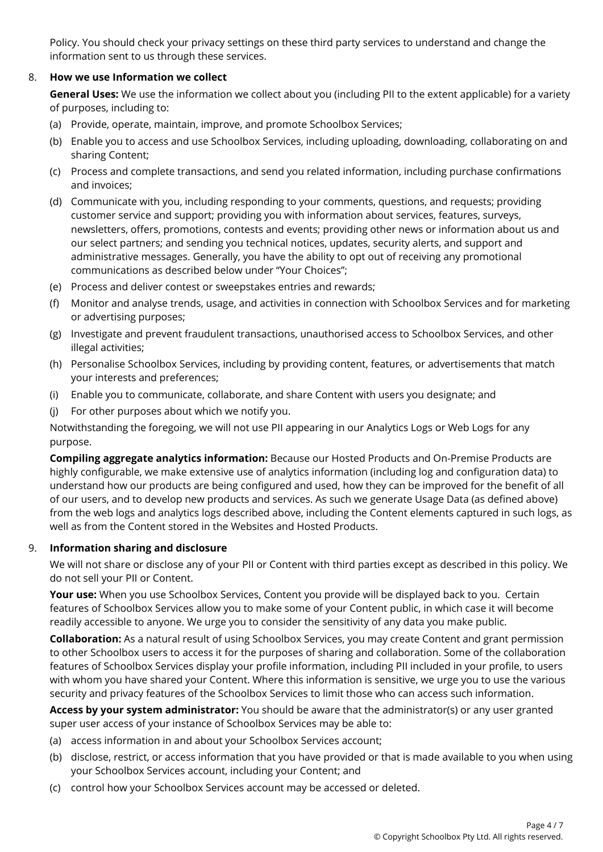Policy. You should check your privacy settings on these third party services to understand and change the information sent to us through these services.

## 8. **How we use Information we collect**

**General Uses:** We use the information we collect about you (including PII to the extent applicable) for a variety of purposes, including to:

- (a) Provide, operate, maintain, improve, and promote Schoolbox Services;
- (b) Enable you to access and use Schoolbox Services, including uploading, downloading, collaborating on and sharing Content;
- (c) Process and complete transactions, and send you related information, including purchase confirmations and invoices;
- (d) Communicate with you, including responding to your comments, questions, and requests; providing customer service and support; providing you with information about services, features, surveys, newsletters, offers, promotions, contests and events; providing other news or information about us and our select partners; and sending you technical notices, updates, security alerts, and support and administrative messages. Generally, you have the ability to opt out of receiving any promotional communications as described below under "Your Choices";
- (e) Process and deliver contest or sweepstakes entries and rewards;
- (f) Monitor and analyse trends, usage, and activities in connection with Schoolbox Services and for marketing or advertising purposes;
- (g) Investigate and prevent fraudulent transactions, unauthorised access to Schoolbox Services, and other illegal activities;
- (h) Personalise Schoolbox Services, including by providing content, features, or advertisements that match your interests and preferences;
- (i) Enable you to communicate, collaborate, and share Content with users you designate; and
- (j) For other purposes about which we notify you.

Notwithstanding the foregoing, we will not use PII appearing in our Analytics Logs or Web Logs for any purpose.

**Compiling aggregate analytics information:** Because our Hosted Products and On-Premise Products are highly configurable, we make extensive use of analytics information (including log and configuration data) to understand how our products are being configured and used, how they can be improved for the benefit of all of our users, and to develop new products and services. As such we generate Usage Data (as defined above) from the web logs and analytics logs described above, including the Content elements captured in such logs, as well as from the Content stored in the Websites and Hosted Products.

## 9. **Information sharing and disclosure**

We will not share or disclose any of your PII or Content with third parties except as described in this policy. We do not sell your PII or Content.

**Your use:** When you use Schoolbox Services, Content you provide will be displayed back to you. Certain features of Schoolbox Services allow you to make some of your Content public, in which case it will become readily accessible to anyone. We urge you to consider the sensitivity of any data you make public.

**Collaboration:** As a natural result of using Schoolbox Services, you may create Content and grant permission to other Schoolbox users to access it for the purposes of sharing and collaboration. Some of the collaboration features of Schoolbox Services display your profile information, including PII included in your profile, to users with whom you have shared your Content. Where this information is sensitive, we urge you to use the various security and privacy features of the Schoolbox Services to limit those who can access such information.

**Access by your system administrator:** You should be aware that the administrator(s) or any user granted super user access of your instance of Schoolbox Services may be able to:

- (a) access information in and about your Schoolbox Services account;
- (b) disclose, restrict, or access information that you have provided or that is made available to you when using your Schoolbox Services account, including your Content; and
- (c) control how your Schoolbox Services account may be accessed or deleted.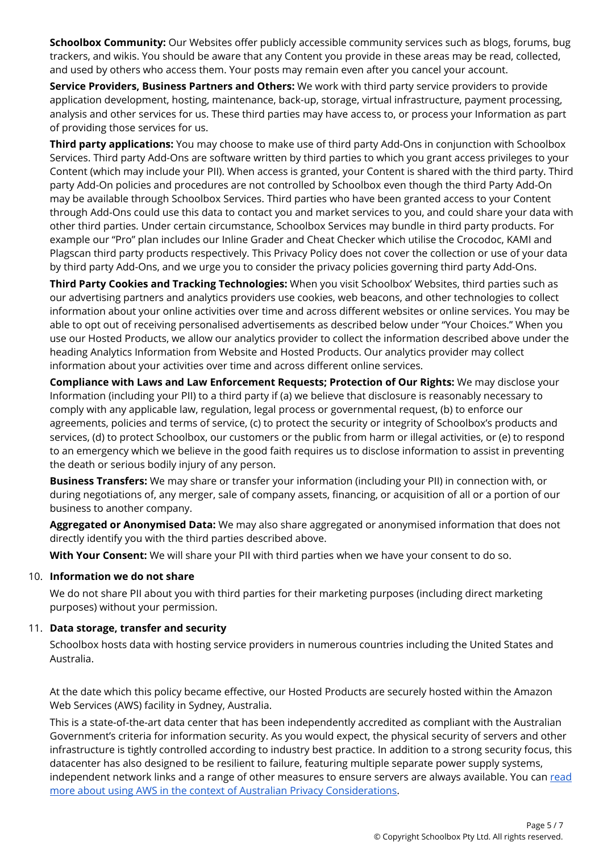**Schoolbox Community:** Our Websites offer publicly accessible community services such as blogs, forums, bug trackers, and wikis. You should be aware that any Content you provide in these areas may be read, collected, and used by others who access them. Your posts may remain even after you cancel your account.

**Service Providers, Business Partners and Others:** We work with third party service providers to provide application development, hosting, maintenance, back-up, storage, virtual infrastructure, payment processing, analysis and other services for us. These third parties may have access to, or process your Information as part of providing those services for us.

**Third party applications:** You may choose to make use of third party Add-Ons in conjunction with Schoolbox Services. Third party Add-Ons are software written by third parties to which you grant access privileges to your Content (which may include your PII). When access is granted, your Content is shared with the third party. Third party Add-On policies and procedures are not controlled by Schoolbox even though the third Party Add-On may be available through Schoolbox Services. Third parties who have been granted access to your Content through Add-Ons could use this data to contact you and market services to you, and could share your data with other third parties. Under certain circumstance, Schoolbox Services may bundle in third party products. For example our "Pro" plan includes our Inline Grader and Cheat Checker which utilise the Crocodoc, KAMI and Plagscan third party products respectively. This Privacy Policy does not cover the collection or use of your data by third party Add-Ons, and we urge you to consider the privacy policies governing third party Add-Ons.

**Third Party Cookies and Tracking Technologies:** When you visit Schoolbox' Websites, third parties such as our advertising partners and analytics providers use cookies, web beacons, and other technologies to collect information about your online activities over time and across different websites or online services. You may be able to opt out of receiving personalised advertisements as described below under "Your Choices." When you use our Hosted Products, we allow our analytics provider to collect the information described above under the heading Analytics Information from Website and Hosted Products. Our analytics provider may collect information about your activities over time and across different online services.

**Compliance with Laws and Law Enforcement Requests; Protection of Our Rights:** We may disclose your Information (including your PII) to a third party if (a) we believe that disclosure is reasonably necessary to comply with any applicable law, regulation, legal process or governmental request, (b) to enforce our agreements, policies and terms of service, (c) to protect the security or integrity of Schoolbox's products and services, (d) to protect Schoolbox, our customers or the public from harm or illegal activities, or (e) to respond to an emergency which we believe in the good faith requires us to disclose information to assist in preventing the death or serious bodily injury of any person.

**Business Transfers:** We may share or transfer your information (including your PII) in connection with, or during negotiations of, any merger, sale of company assets, financing, or acquisition of all or a portion of our business to another company.

**Aggregated or Anonymised Data:** We may also share aggregated or anonymised information that does not directly identify you with the third parties described above.

**With Your Consent:** We will share your PII with third parties when we have your consent to do so.

#### 10. **Information we do not share**

We do not share PII about you with third parties for their marketing purposes (including direct marketing purposes) without your permission.

#### 11. **Data storage, transfer and security**

Schoolbox hosts data with hosting service providers in numerous countries including the United States and Australia.

At the date which this policy became effective, our Hosted Products are securely hosted within the Amazon Web Services (AWS) facility in Sydney, Australia.

This is a state-of-the-art data center that has been independently accredited as compliant with the Australian Government's criteria for information security. As you would expect, the physical security of servers and other infrastructure is tightly controlled according to industry best practice. In addition to a strong security focus, this datacenter has also designed to be resilient to failure, featuring multiple separate power supply systems, independent network links and a range of other measures to ensure servers are always available. You can [read](http://d0.awsstatic.com/whitepapers/compliance/Using_AWS_in_the_context_of_Australian_Privacy_Considerations.pdf) more about using AWS in the context of Australian Privacy [Considerations.](http://d0.awsstatic.com/whitepapers/compliance/Using_AWS_in_the_context_of_Australian_Privacy_Considerations.pdf)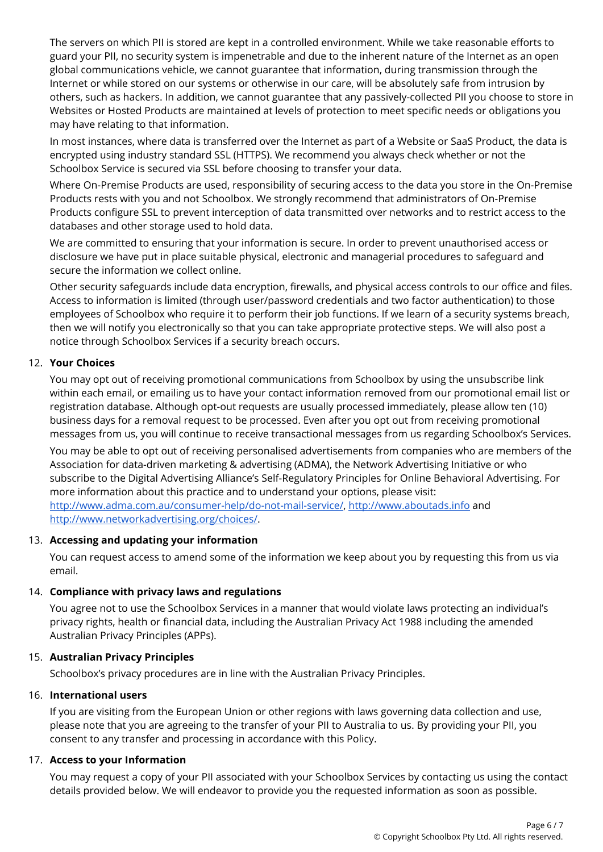The servers on which PII is stored are kept in a controlled environment. While we take reasonable efforts to guard your PII, no security system is impenetrable and due to the inherent nature of the Internet as an open global communications vehicle, we cannot guarantee that information, during transmission through the Internet or while stored on our systems or otherwise in our care, will be absolutely safe from intrusion by others, such as hackers. In addition, we cannot guarantee that any passively-collected PII you choose to store in Websites or Hosted Products are maintained at levels of protection to meet specific needs or obligations you may have relating to that information.

In most instances, where data is transferred over the Internet as part of a Website or SaaS Product, the data is encrypted using industry standard SSL (HTTPS). We recommend you always check whether or not the Schoolbox Service is secured via SSL before choosing to transfer your data.

Where On-Premise Products are used, responsibility of securing access to the data you store in the On-Premise Products rests with you and not Schoolbox. We strongly recommend that administrators of On-Premise Products configure SSL to prevent interception of data transmitted over networks and to restrict access to the databases and other storage used to hold data.

We are committed to ensuring that your information is secure. In order to prevent unauthorised access or disclosure we have put in place suitable physical, electronic and managerial procedures to safeguard and secure the information we collect online.

Other security safeguards include data encryption, firewalls, and physical access controls to our office and files. Access to information is limited (through user/password credentials and two factor authentication) to those employees of Schoolbox who require it to perform their job functions. If we learn of a security systems breach, then we will notify you electronically so that you can take appropriate protective steps. We will also post a notice through Schoolbox Services if a security breach occurs.

## 12. **Your Choices**

You may opt out of receiving promotional communications from Schoolbox by using the unsubscribe link within each email, or emailing us to have your contact information removed from our promotional email list or registration database. Although opt-out requests are usually processed immediately, please allow ten (10) business days for a removal request to be processed. Even after you opt out from receiving promotional messages from us, you will continue to receive transactional messages from us regarding Schoolbox's Services.

You may be able to opt out of receiving personalised advertisements from companies who are members of the Association for data-driven marketing & advertising (ADMA), the Network Advertising Initiative or who subscribe to the Digital Advertising Alliance's Self-Regulatory Principles for Online Behavioral Advertising. For more information about this practice and to understand your options, please visit: <http://www.adma.com.au/consumer-help/do-not-mail-service/>, [http://www.aboutads.info](http://www.aboutads.info/) and <http://www.networkadvertising.org/choices/>.

#### 13. **Accessing and updating your information**

You can request access to amend some of the information we keep about you by requesting this from us via email.

#### 14. **Compliance with privacy laws and regulations**

You agree not to use the Schoolbox Services in a manner that would violate laws protecting an individual's privacy rights, health or financial data, including the Australian Privacy Act 1988 including the amended Australian Privacy Principles (APPs).

#### 15. **Australian Privacy Principles**

Schoolbox's privacy procedures are in line with the Australian Privacy Principles.

#### 16. **International users**

If you are visiting from the European Union or other regions with laws governing data collection and use, please note that you are agreeing to the transfer of your PII to Australia to us. By providing your PII, you consent to any transfer and processing in accordance with this Policy.

#### 17. **Access to your Information**

You may request a copy of your PII associated with your Schoolbox Services by contacting us using the contact details provided below. We will endeavor to provide you the requested information as soon as possible.